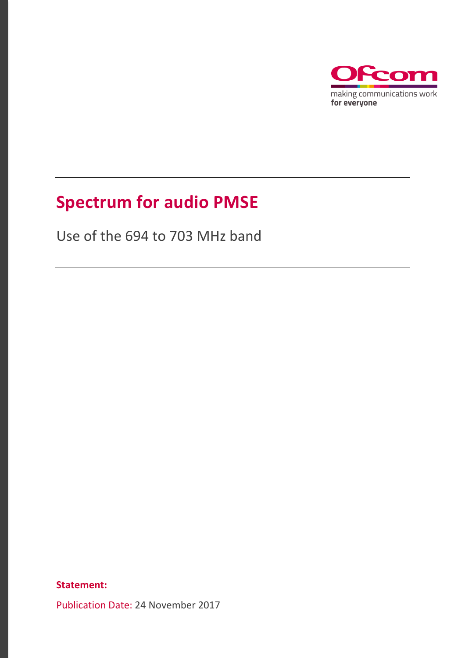

# **Spectrum for audio PMSE**

Use of the 694 to 703 MHz band

**Statement:**

Publication Date: 24 November 2017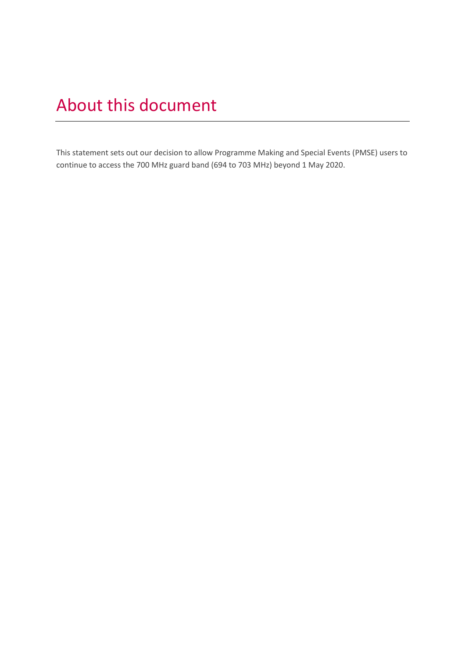# About this document

This statement sets out our decision to allow Programme Making and Special Events (PMSE) users to continue to access the 700 MHz guard band (694 to 703 MHz) beyond 1 May 2020.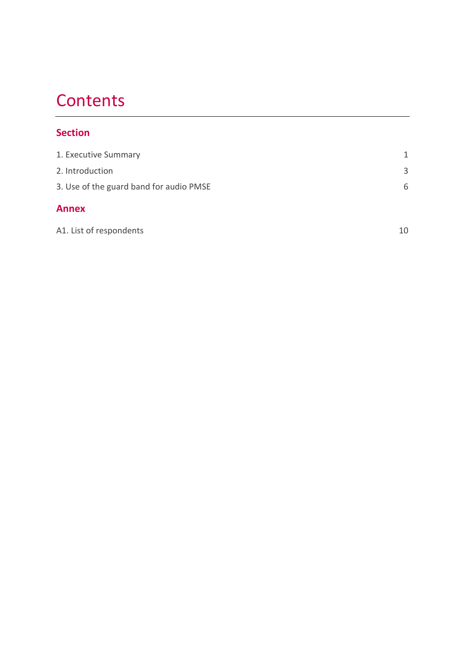# **Contents**

### **Section**

| 1. Executive Summary                    | 1  |
|-----------------------------------------|----|
| 2. Introduction                         | 3  |
| 3. Use of the guard band for audio PMSE | 6  |
| <b>Annex</b>                            |    |
| A1. List of respondents                 | 10 |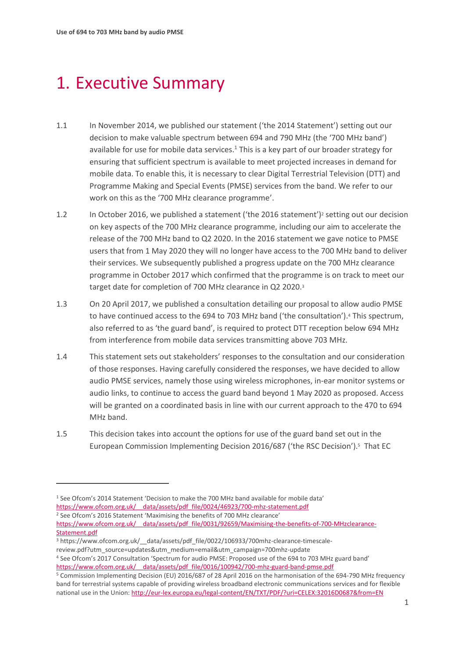# <span id="page-3-0"></span>1. Executive Summary

- 1.1 In November 2014, we published our statement ('the 2014 Statement') setting out our decision to make valuable spectrum between 694 and 790 MHz (the '700 MHz band') available for use for mobile data services. $1$  This is a key part of our broader strategy for ensuring that sufficient spectrum is available to meet projected increases in demand for mobile data. To enable this, it is necessary to clear Digital Terrestrial Television (DTT) and Programme Making and Special Events (PMSE) services from the band. We refer to our work on this as the '700 MHz clearance programme'.
- 1.2 In October 2016, we published a statement ('the 2016 statement')<sup>2</sup> setting out our decision on key aspects of the 700 MHz clearance programme, including our aim to accelerate the release of the 700 MHz band to Q2 2020. In the 2016 statement we gave notice to PMSE users that from 1 May 2020 they will no longer have access to the 700 MHz band to deliver their services. We subsequently published a progress update on the 700 MHz clearance programme in October 2017 which confirmed that the programme is on track to meet our target date for completion of 700 MHz clearance in Q2 2020.<sup>3</sup>
- 1.3 On 20 April 2017, we published a consultation detailing our proposal to allow audio PMSE to have continued access to the 694 to 703 MHz band ('the consultation'). <sup>4</sup> This spectrum, also referred to as 'the guard band', is required to protect DTT reception below 694 MHz from interference from mobile data services transmitting above 703 MHz.
- 1.4 This statement sets out stakeholders' responses to the consultation and our consideration of those responses. Having carefully considered the responses, we have decided to allow audio PMSE services, namely those using wireless microphones, in-ear monitor systems or audio links, to continue to access the guard band beyond 1 May 2020 as proposed. Access will be granted on a coordinated basis in line with our current approach to the 470 to 694 MHz band.
- 1.5 This decision takes into account the options for use of the guard band set out in the European Commission Implementing Decision 2016/687 ('the RSC Decision'). 5 That EC

<sup>2</sup> See Ofcom's 2016 Statement 'Maximising the benefits of 700 MHz clearance'

 $\overline{a}$ 

<sup>1</sup> See Ofcom's 2014 Statement 'Decision to make the 700 MHz band available for mobile data'

https://www.ofcom.org.uk/ data/assets/pdf file/0024/46923/700-mhz-statement.pdf

https://www.ofcom.org.uk/ data/assets/pdf file/0031/92659/Maximising-the-benefits-of-700-MHzclearance-[Statement.pdf](https://www.ofcom.org.uk/__data/assets/pdf_file/0031/92659/Maximising-the-benefits-of-700-MHzclearance-Statement.pdf)

<sup>3</sup> https://www.ofcom.org.uk/\_\_data/assets/pdf\_file/0022/106933/700mhz-clearance-timescalereview.pdf?utm\_source=updates&utm\_medium=email&utm\_campaign=700mhz-update

<sup>4</sup> See Ofcom's 2017 Consultation 'Spectrum for audio PMSE: Proposed use of the 694 to 703 MHz guard band' [https://www.ofcom.org.uk/\\_\\_data/assets/pdf\\_file/0016/100942/700-mhz-guard-band-pmse.pdf](https://www.ofcom.org.uk/__data/assets/pdf_file/0016/100942/700-mhz-guard-band-pmse.pdf)

<sup>5</sup> Commission Implementing Decision (EU) 2016/687 of 28 April 2016 on the harmonisation of the 694-790 MHz frequency band for terrestrial systems capable of providing wireless broadband electronic communications services and for flexible national use in the Union[: http://eur-lex.europa.eu/legal-content/EN/TXT/PDF/?uri=CELEX:32016D0687&from=EN](http://eur-lex.europa.eu/legal-content/EN/TXT/PDF/?uri=CELEX:32016D0687&from=EN)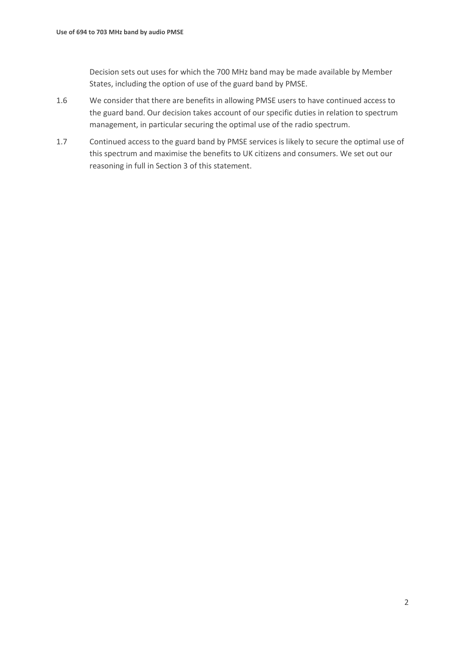Decision sets out uses for which the 700 MHz band may be made available by Member States, including the option of use of the guard band by PMSE.

- 1.6 We consider that there are benefits in allowing PMSE users to have continued access to the guard band. Our decision takes account of our specific duties in relation to spectrum management, in particular securing the optimal use of the radio spectrum.
- 1.7 Continued access to the guard band by PMSE services is likely to secure the optimal use of this spectrum and maximise the benefits to UK citizens and consumers. We set out our reasoning in full in Section 3 of this statement.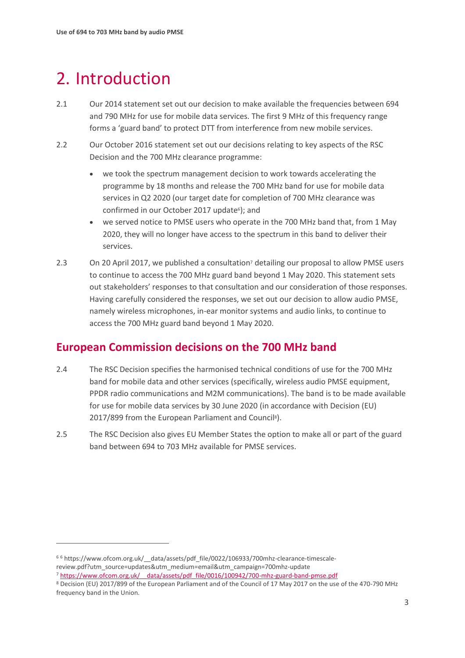# <span id="page-5-0"></span>2. Introduction

- 2.1 Our 2014 statement set out our decision to make available the frequencies between 694 and 790 MHz for use for mobile data services. The first 9 MHz of this frequency range forms a 'guard band' to protect DTT from interference from new mobile services.
- 2.2 Our October 2016 statement set out our decisions relating to key aspects of the RSC Decision and the 700 MHz clearance programme:
	- we took the spectrum management decision to work towards accelerating the programme by 18 months and release the 700 MHz band for use for mobile data services in Q2 2020 (our target date for completion of 700 MHz clearance was confirmed in our October 2017 update<sup>6</sup>); and
	- we served notice to PMSE users who operate in the 700 MHz band that, from 1 May 2020, they will no longer have access to the spectrum in this band to deliver their services.
- 2.3 On 20 April 2017, we published a consultation<sup>7</sup> detailing our proposal to allow PMSE users to continue to access the 700 MHz guard band beyond 1 May 2020. This statement sets out stakeholders' responses to that consultation and our consideration of those responses. Having carefully considered the responses, we set out our decision to allow audio PMSE, namely wireless microphones, in-ear monitor systems and audio links, to continue to access the 700 MHz guard band beyond 1 May 2020.

## **European Commission decisions on the 700 MHz band**

- 2.4 The RSC Decision specifies the harmonised technical conditions of use for the 700 MHz band for mobile data and other services (specifically, wireless audio PMSE equipment, PPDR radio communications and M2M communications). The band is to be made available for use for mobile data services by 30 June 2020 (in accordance with Decision (EU) 2017/899 from the European Parliament and Council<sup>8</sup> ).
- 2.5 The RSC Decision also gives EU Member States the option to make all or part of the guard band between 694 to 703 MHz available for PMSE services.

 $\overline{a}$ 

<sup>6</sup> <sup>6</sup> https://www.ofcom.org.uk/\_\_data/assets/pdf\_file/0022/106933/700mhz-clearance-timescalereview.pdf?utm\_source=updates&utm\_medium=email&utm\_campaign=700mhz-update

<sup>7</sup> https://www.ofcom.org.uk/ data/assets/pdf file/0016/100942/700-mhz-guard-band-pmse.pdf

<sup>8</sup> Decision (EU) 2017/899 of the European Parliament and of the Council of 17 May 2017 on the use of the 470-790 MHz frequency band in the Union.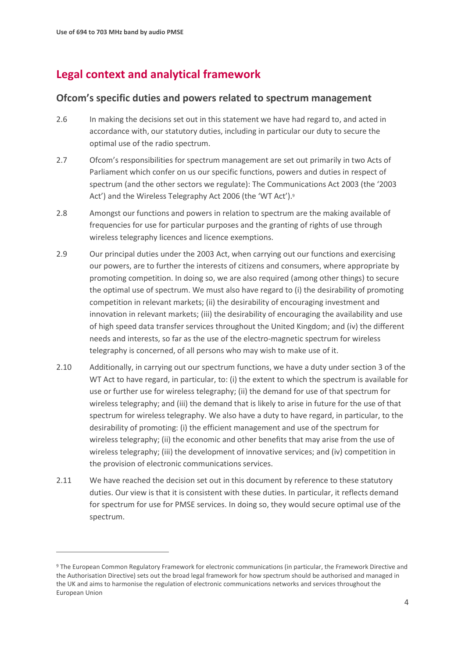$\overline{a}$ 

## **Legal context and analytical framework**

#### **Ofcom's specific duties and powers related to spectrum management**

- 2.6 In making the decisions set out in this statement we have had regard to, and acted in accordance with, our statutory duties, including in particular our duty to secure the optimal use of the radio spectrum.
- 2.7 Ofcom's responsibilities for spectrum management are set out primarily in two Acts of Parliament which confer on us our specific functions, powers and duties in respect of spectrum (and the other sectors we regulate): The Communications Act 2003 (the '2003 Act') and the Wireless Telegraphy Act 2006 (the 'WT Act').<sup>9</sup>
- 2.8 Amongst our functions and powers in relation to spectrum are the making available of frequencies for use for particular purposes and the granting of rights of use through wireless telegraphy licences and licence exemptions.
- 2.9 Our principal duties under the 2003 Act, when carrying out our functions and exercising our powers, are to further the interests of citizens and consumers, where appropriate by promoting competition. In doing so, we are also required (among other things) to secure the optimal use of spectrum. We must also have regard to (i) the desirability of promoting competition in relevant markets; (ii) the desirability of encouraging investment and innovation in relevant markets; (iii) the desirability of encouraging the availability and use of high speed data transfer services throughout the United Kingdom; and (iv) the different needs and interests, so far as the use of the electro-magnetic spectrum for wireless telegraphy is concerned, of all persons who may wish to make use of it.
- 2.10 Additionally, in carrying out our spectrum functions, we have a duty under section 3 of the WT Act to have regard, in particular, to: (i) the extent to which the spectrum is available for use or further use for wireless telegraphy; (ii) the demand for use of that spectrum for wireless telegraphy; and (iii) the demand that is likely to arise in future for the use of that spectrum for wireless telegraphy. We also have a duty to have regard, in particular, to the desirability of promoting: (i) the efficient management and use of the spectrum for wireless telegraphy; (ii) the economic and other benefits that may arise from the use of wireless telegraphy; (iii) the development of innovative services; and (iv) competition in the provision of electronic communications services.
- 2.11 We have reached the decision set out in this document by reference to these statutory duties. Our view is that it is consistent with these duties. In particular, it reflects demand for spectrum for use for PMSE services. In doing so, they would secure optimal use of the spectrum.

<sup>9</sup> The European Common Regulatory Framework for electronic communications (in particular, the Framework Directive and the Authorisation Directive) sets out the broad legal framework for how spectrum should be authorised and managed in the UK and aims to harmonise the regulation of electronic communications networks and services throughout the European Union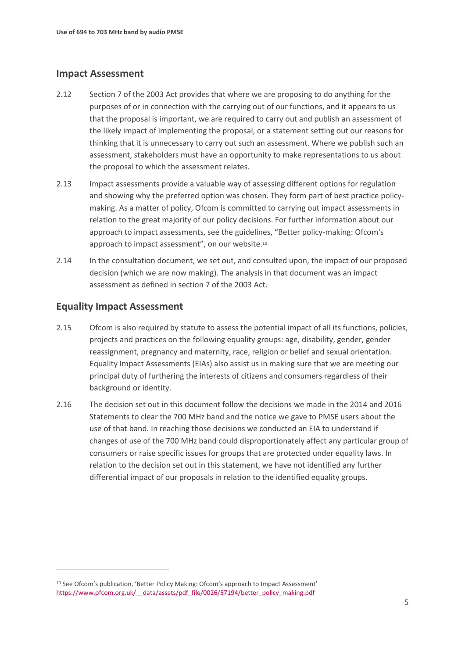#### **Impact Assessment**

- 2.12 Section 7 of the 2003 Act provides that where we are proposing to do anything for the purposes of or in connection with the carrying out of our functions, and it appears to us that the proposal is important, we are required to carry out and publish an assessment of the likely impact of implementing the proposal, or a statement setting out our reasons for thinking that it is unnecessary to carry out such an assessment. Where we publish such an assessment, stakeholders must have an opportunity to make representations to us about the proposal to which the assessment relates.
- 2.13 Impact assessments provide a valuable way of assessing different options for regulation and showing why the preferred option was chosen. They form part of best practice policymaking. As a matter of policy, Ofcom is committed to carrying out impact assessments in relation to the great majority of our policy decisions. For further information about our approach to impact assessments, see the guidelines, "Better policy-making: Ofcom's approach to impact assessment", on our website.<sup>10</sup>
- 2.14 In the consultation document, we set out, and consulted upon, the impact of our proposed decision (which we are now making). The analysis in that document was an impact assessment as defined in section 7 of the 2003 Act.

#### **Equality Impact Assessment**

 $\overline{a}$ 

- 2.15 Ofcom is also required by statute to assess the potential impact of all its functions, policies, projects and practices on the following equality groups: age, disability, gender, gender reassignment, pregnancy and maternity, race, religion or belief and sexual orientation. Equality Impact Assessments (EIAs) also assist us in making sure that we are meeting our principal duty of furthering the interests of citizens and consumers regardless of their background or identity.
- 2.16 The decision set out in this document follow the decisions we made in the 2014 and 2016 Statements to clear the 700 MHz band and the notice we gave to PMSE users about the use of that band. In reaching those decisions we conducted an EIA to understand if changes of use of the 700 MHz band could disproportionately affect any particular group of consumers or raise specific issues for groups that are protected under equality laws. In relation to the decision set out in this statement, we have not identified any further differential impact of our proposals in relation to the identified equality groups.

<sup>10</sup> See Ofcom's publication, 'Better Policy Making: Ofcom's approach to Impact Assessment' https://www.ofcom.org.uk/ data/assets/pdf file/0026/57194/better\_policy\_making.pdf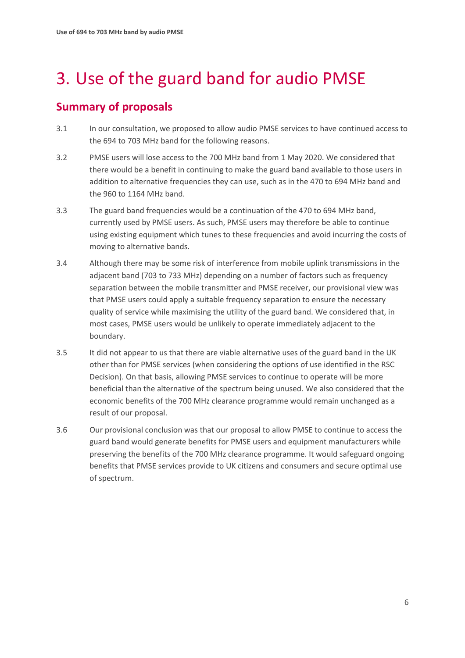# <span id="page-8-0"></span>3. Use of the guard band for audio PMSE

## **Summary of proposals**

- 3.1 In our consultation, we proposed to allow audio PMSE services to have continued access to the 694 to 703 MHz band for the following reasons.
- 3.2 PMSE users will lose access to the 700 MHz band from 1 May 2020. We considered that there would be a benefit in continuing to make the guard band available to those users in addition to alternative frequencies they can use, such as in the 470 to 694 MHz band and the 960 to 1164 MHz band.
- 3.3 The guard band frequencies would be a continuation of the 470 to 694 MHz band, currently used by PMSE users. As such, PMSE users may therefore be able to continue using existing equipment which tunes to these frequencies and avoid incurring the costs of moving to alternative bands.
- 3.4 Although there may be some risk of interference from mobile uplink transmissions in the adjacent band (703 to 733 MHz) depending on a number of factors such as frequency separation between the mobile transmitter and PMSE receiver, our provisional view was that PMSE users could apply a suitable frequency separation to ensure the necessary quality of service while maximising the utility of the guard band. We considered that, in most cases, PMSE users would be unlikely to operate immediately adjacent to the boundary.
- 3.5 It did not appear to us that there are viable alternative uses of the guard band in the UK other than for PMSE services (when considering the options of use identified in the RSC Decision). On that basis, allowing PMSE services to continue to operate will be more beneficial than the alternative of the spectrum being unused. We also considered that the economic benefits of the 700 MHz clearance programme would remain unchanged as a result of our proposal.
- 3.6 Our provisional conclusion was that our proposal to allow PMSE to continue to access the guard band would generate benefits for PMSE users and equipment manufacturers while preserving the benefits of the 700 MHz clearance programme. It would safeguard ongoing benefits that PMSE services provide to UK citizens and consumers and secure optimal use of spectrum.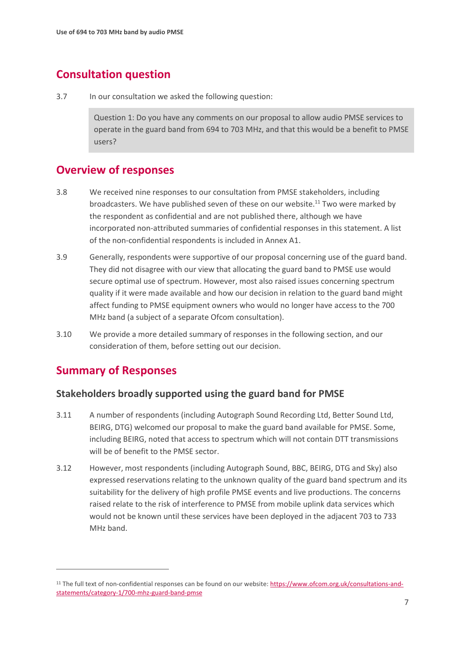## **Consultation question**

3.7 In our consultation we asked the following question:

Question 1: Do you have any comments on our proposal to allow audio PMSE services to operate in the guard band from 694 to 703 MHz, and that this would be a benefit to PMSE users?

### **Overview of responses**

- 3.8 We received nine responses to our consultation from PMSE stakeholders, including broadcasters. We have published seven of these on our website.<sup>11</sup> Two were marked by the respondent as confidential and are not published there, although we have incorporated non-attributed summaries of confidential responses in this statement. A list of the non-confidential respondents is included in Annex A1.
- 3.9 Generally, respondents were supportive of our proposal concerning use of the guard band. They did not disagree with our view that allocating the guard band to PMSE use would secure optimal use of spectrum. However, most also raised issues concerning spectrum quality if it were made available and how our decision in relation to the guard band might affect funding to PMSE equipment owners who would no longer have access to the 700 MHz band (a subject of a separate Ofcom consultation).
- 3.10 We provide a more detailed summary of responses in the following section, and our consideration of them, before setting out our decision.

## **Summary of Responses**

 $\overline{a}$ 

#### **Stakeholders broadly supported using the guard band for PMSE**

- 3.11 A number of respondents (including Autograph Sound Recording Ltd, Better Sound Ltd, BEIRG, DTG) welcomed our proposal to make the guard band available for PMSE. Some, including BEIRG, noted that access to spectrum which will not contain DTT transmissions will be of benefit to the PMSE sector.
- 3.12 However, most respondents (including Autograph Sound, BBC, BEIRG, DTG and Sky) also expressed reservations relating to the unknown quality of the guard band spectrum and its suitability for the delivery of high profile PMSE events and live productions. The concerns raised relate to the risk of interference to PMSE from mobile uplink data services which would not be known until these services have been deployed in the adjacent 703 to 733 MHz band.

<sup>&</sup>lt;sup>11</sup> The full text of non-confidential responses can be found on our website: [https://www.ofcom.org.uk/consultations-and](https://www.ofcom.org.uk/consultations-and-statements/category-1/700-mhz-guard-band-pmse)[statements/category-1/700-mhz-guard-band-pmse](https://www.ofcom.org.uk/consultations-and-statements/category-1/700-mhz-guard-band-pmse)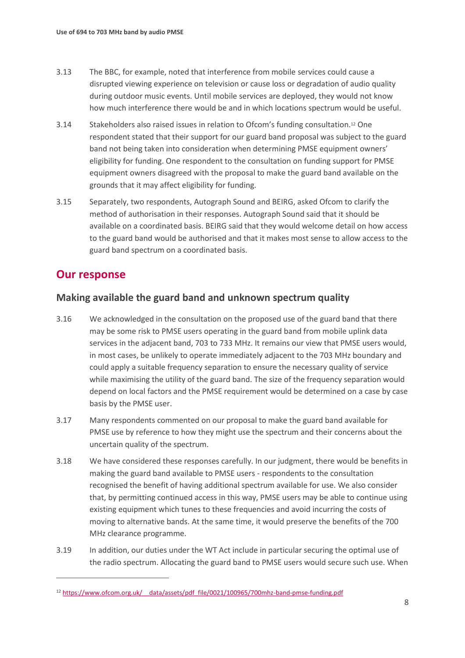- 3.13 The BBC, for example, noted that interference from mobile services could cause a disrupted viewing experience on television or cause loss or degradation of audio quality during outdoor music events. Until mobile services are deployed, they would not know how much interference there would be and in which locations spectrum would be useful.
- 3.14 Stakeholders also raised issues in relation to Ofcom's funding consultation.<sup>12</sup> One respondent stated that their support for our guard band proposal was subject to the guard band not being taken into consideration when determining PMSE equipment owners' eligibility for funding. One respondent to the consultation on funding support for PMSE equipment owners disagreed with the proposal to make the guard band available on the grounds that it may affect eligibility for funding.
- 3.15 Separately, two respondents, Autograph Sound and BEIRG, asked Ofcom to clarify the method of authorisation in their responses. Autograph Sound said that it should be available on a coordinated basis. BEIRG said that they would welcome detail on how access to the guard band would be authorised and that it makes most sense to allow access to the guard band spectrum on a coordinated basis.

### **Our response**

 $\overline{a}$ 

### **Making available the guard band and unknown spectrum quality**

- 3.16 We acknowledged in the consultation on the proposed use of the guard band that there may be some risk to PMSE users operating in the guard band from mobile uplink data services in the adjacent band, 703 to 733 MHz. It remains our view that PMSE users would, in most cases, be unlikely to operate immediately adjacent to the 703 MHz boundary and could apply a suitable frequency separation to ensure the necessary quality of service while maximising the utility of the guard band. The size of the frequency separation would depend on local factors and the PMSE requirement would be determined on a case by case basis by the PMSE user.
- 3.17 Many respondents commented on our proposal to make the guard band available for PMSE use by reference to how they might use the spectrum and their concerns about the uncertain quality of the spectrum.
- 3.18 We have considered these responses carefully. In our judgment, there would be benefits in making the guard band available to PMSE users - respondents to the consultation recognised the benefit of having additional spectrum available for use. We also consider that, by permitting continued access in this way, PMSE users may be able to continue using existing equipment which tunes to these frequencies and avoid incurring the costs of moving to alternative bands. At the same time, it would preserve the benefits of the 700 MHz clearance programme.
- 3.19 In addition, our duties under the WT Act include in particular securing the optimal use of the radio spectrum. Allocating the guard band to PMSE users would secure such use. When

<sup>12</sup> [https://www.ofcom.org.uk/\\_\\_data/assets/pdf\\_file/0021/100965/700mhz-band-pmse-funding.pdf](https://www.ofcom.org.uk/__data/assets/pdf_file/0021/100965/700mhz-band-pmse-funding.pdf)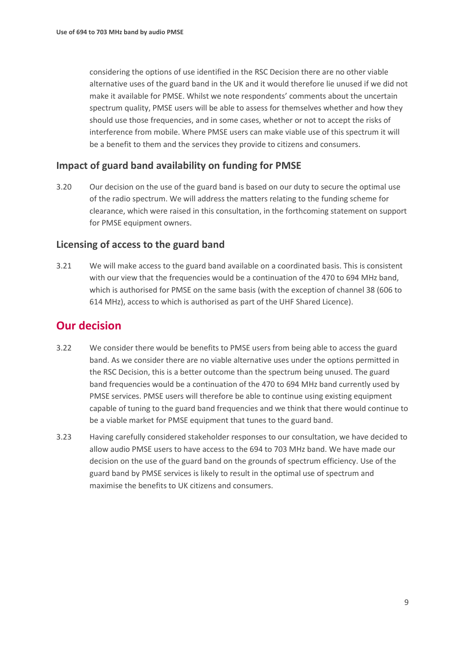considering the options of use identified in the RSC Decision there are no other viable alternative uses of the guard band in the UK and it would therefore lie unused if we did not make it available for PMSE. Whilst we note respondents' comments about the uncertain spectrum quality, PMSE users will be able to assess for themselves whether and how they should use those frequencies, and in some cases, whether or not to accept the risks of interference from mobile. Where PMSE users can make viable use of this spectrum it will be a benefit to them and the services they provide to citizens and consumers.

#### **Impact of guard band availability on funding for PMSE**

3.20 Our decision on the use of the guard band is based on our duty to secure the optimal use of the radio spectrum. We will address the matters relating to the funding scheme for clearance, which were raised in this consultation, in the forthcoming statement on support for PMSE equipment owners.

#### **Licensing of access to the guard band**

3.21 We will make access to the guard band available on a coordinated basis. This is consistent with our view that the frequencies would be a continuation of the 470 to 694 MHz band, which is authorised for PMSE on the same basis (with the exception of channel 38 (606 to 614 MHz), access to which is authorised as part of the UHF Shared Licence).

### **Our decision**

- 3.22 We consider there would be benefits to PMSE users from being able to access the guard band. As we consider there are no viable alternative uses under the options permitted in the RSC Decision, this is a better outcome than the spectrum being unused. The guard band frequencies would be a continuation of the 470 to 694 MHz band currently used by PMSE services. PMSE users will therefore be able to continue using existing equipment capable of tuning to the guard band frequencies and we think that there would continue to be a viable market for PMSE equipment that tunes to the guard band.
- 3.23 Having carefully considered stakeholder responses to our consultation, we have decided to allow audio PMSE users to have access to the 694 to 703 MHz band. We have made our decision on the use of the guard band on the grounds of spectrum efficiency. Use of the guard band by PMSE services is likely to result in the optimal use of spectrum and maximise the benefits to UK citizens and consumers.